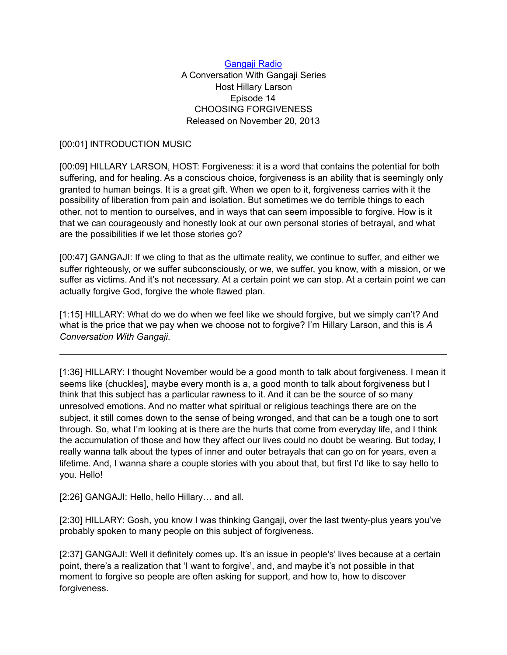## [Gangaji Radio](https://gangaji.org/podcast-library/)

## A Conversation With Gangaji Series Host Hillary Larson Episode 14 CHOOSING FORGIVENESS Released on November 20, 2013

## [00:01] INTRODUCTION MUSIC

[00:09] HILLARY LARSON, HOST: Forgiveness: it is a word that contains the potential for both suffering, and for healing. As a conscious choice, forgiveness is an ability that is seemingly only granted to human beings. It is a great gift. When we open to it, forgiveness carries with it the possibility of liberation from pain and isolation. But sometimes we do terrible things to each other, not to mention to ourselves, and in ways that can seem impossible to forgive. How is it that we can courageously and honestly look at our own personal stories of betrayal, and what are the possibilities if we let those stories go?

[00:47] GANGAJI: If we cling to that as the ultimate reality, we continue to suffer, and either we suffer righteously, or we suffer subconsciously, or we, we suffer, you know, with a mission, or we suffer as victims. And it's not necessary. At a certain point we can stop. At a certain point we can actually forgive God, forgive the whole flawed plan.

[1:15] HILLARY: What do we do when we feel like we should forgive, but we simply can't? And what is the price that we pay when we choose not to forgive? I'm Hillary Larson, and this is *A Conversation With Gangaji*.

[1:36] HILLARY: I thought November would be a good month to talk about forgiveness. I mean it seems like (chuckles], maybe every month is a, a good month to talk about forgiveness but I think that this subject has a particular rawness to it. And it can be the source of so many unresolved emotions. And no matter what spiritual or religious teachings there are on the subject, it still comes down to the sense of being wronged, and that can be a tough one to sort through. So, what I'm looking at is there are the hurts that come from everyday life, and I think the accumulation of those and how they affect our lives could no doubt be wearing. But today, I really wanna talk about the types of inner and outer betrayals that can go on for years, even a lifetime. And, I wanna share a couple stories with you about that, but first I'd like to say hello to you. Hello!

[2:26] GANGAJI: Hello, hello Hillary… and all.

[2:30] HILLARY: Gosh, you know I was thinking Gangaji, over the last twenty-plus years you've probably spoken to many people on this subject of forgiveness.

[2:37] GANGAJI: Well it definitely comes up. It's an issue in people's' lives because at a certain point, there's a realization that 'I want to forgive', and, and maybe it's not possible in that moment to forgive so people are often asking for support, and how to, how to discover forgiveness.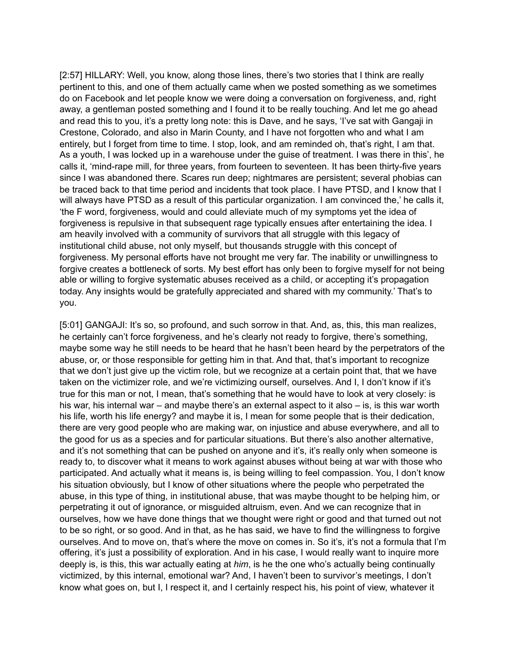[2:57] HILLARY: Well, you know, along those lines, there's two stories that I think are really pertinent to this, and one of them actually came when we posted something as we sometimes do on Facebook and let people know we were doing a conversation on forgiveness, and, right away, a gentleman posted something and I found it to be really touching. And let me go ahead and read this to you, it's a pretty long note: this is Dave, and he says, 'I've sat with Gangaji in Crestone, Colorado, and also in Marin County, and I have not forgotten who and what I am entirely, but I forget from time to time. I stop, look, and am reminded oh, that's right, I am that. As a youth, I was locked up in a warehouse under the guise of treatment. I was there in this', he calls it, 'mind-rape mill, for three years, from fourteen to seventeen. It has been thirty-five years since I was abandoned there. Scares run deep; nightmares are persistent; several phobias can be traced back to that time period and incidents that took place. I have PTSD, and I know that I will always have PTSD as a result of this particular organization. I am convinced the,' he calls it, 'the F word, forgiveness, would and could alleviate much of my symptoms yet the idea of forgiveness is repulsive in that subsequent rage typically ensues after entertaining the idea. I am heavily involved with a community of survivors that all struggle with this legacy of institutional child abuse, not only myself, but thousands struggle with this concept of forgiveness. My personal efforts have not brought me very far. The inability or unwillingness to forgive creates a bottleneck of sorts. My best effort has only been to forgive myself for not being able or willing to forgive systematic abuses received as a child, or accepting it's propagation today. Any insights would be gratefully appreciated and shared with my community.' That's to you.

[5:01] GANGAJI: It's so, so profound, and such sorrow in that. And, as, this, this man realizes, he certainly can't force forgiveness, and he's clearly not ready to forgive, there's something, maybe some way he still needs to be heard that he hasn't been heard by the perpetrators of the abuse, or, or those responsible for getting him in that. And that, that's important to recognize that we don't just give up the victim role, but we recognize at a certain point that, that we have taken on the victimizer role, and we're victimizing ourself, ourselves. And I, I don't know if it's true for this man or not, I mean, that's something that he would have to look at very closely: is his war, his internal war – and maybe there's an external aspect to it also – is, is this war worth his life, worth his life energy? and maybe it is, I mean for some people that is their dedication, there are very good people who are making war, on injustice and abuse everywhere, and all to the good for us as a species and for particular situations. But there's also another alternative, and it's not something that can be pushed on anyone and it's, it's really only when someone is ready to, to discover what it means to work against abuses without being at war with those who participated. And actually what it means is, is being willing to feel compassion. You, I don't know his situation obviously, but I know of other situations where the people who perpetrated the abuse, in this type of thing, in institutional abuse, that was maybe thought to be helping him, or perpetrating it out of ignorance, or misguided altruism, even. And we can recognize that in ourselves, how we have done things that we thought were right or good and that turned out not to be so right, or so good. And in that, as he has said, we have to find the willingness to forgive ourselves. And to move on, that's where the move on comes in. So it's, it's not a formula that I'm offering, it's just a possibility of exploration. And in his case, I would really want to inquire more deeply is, is this, this war actually eating at *him*, is he the one who's actually being continually victimized, by this internal, emotional war? And, I haven't been to survivor's meetings, I don't know what goes on, but I, I respect it, and I certainly respect his, his point of view, whatever it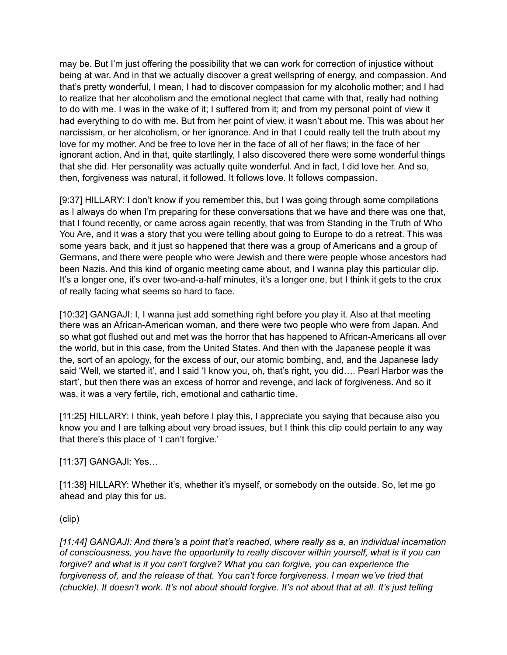may be. But I'm just offering the possibility that we can work for correction of injustice without being at war. And in that we actually discover a great wellspring of energy, and compassion. And that's pretty wonderful, I mean, I had to discover compassion for my alcoholic mother; and I had to realize that her alcoholism and the emotional neglect that came with that, really had nothing to do with me. I was in the wake of it; I suffered from it; and from my personal point of view it had everything to do with me. But from her point of view, it wasn't about me. This was about her narcissism, or her alcoholism, or her ignorance. And in that I could really tell the truth about my love for my mother. And be free to love her in the face of all of her flaws; in the face of her ignorant action. And in that, quite startlingly, I also discovered there were some wonderful things that she did. Her personality was actually quite wonderful. And in fact, I did love her. And so, then, forgiveness was natural, it followed. It follows love. It follows compassion.

[9:37] HILLARY: I don't know if you remember this, but I was going through some compilations as I always do when I'm preparing for these conversations that we have and there was one that, that I found recently, or came across again recently, that was from Standing in the Truth of Who You Are, and it was a story that you were telling about going to Europe to do a retreat. This was some years back, and it just so happened that there was a group of Americans and a group of Germans, and there were people who were Jewish and there were people whose ancestors had been Nazis. And this kind of organic meeting came about, and I wanna play this particular clip. It's a longer one, it's over two-and-a-half minutes, it's a longer one, but I think it gets to the crux of really facing what seems so hard to face.

[10:32] GANGAJI: I, I wanna just add something right before you play it. Also at that meeting there was an African-American woman, and there were two people who were from Japan. And so what got flushed out and met was the horror that has happened to African-Americans all over the world, but in this case, from the United States. And then with the Japanese people it was the, sort of an apology, for the excess of our, our atomic bombing, and, and the Japanese lady said 'Well, we started it', and I said 'I know you, oh, that's right, you did…. Pearl Harbor was the start', but then there was an excess of horror and revenge, and lack of forgiveness. And so it was, it was a very fertile, rich, emotional and cathartic time.

[11:25] HILLARY: I think, yeah before I play this, I appreciate you saying that because also you know you and I are talking about very broad issues, but I think this clip could pertain to any way that there's this place of 'I can't forgive.'

[11:37] GANGAJI: Yes…

[11:38] HILLARY: Whether it's, whether it's myself, or somebody on the outside. So, let me go ahead and play this for us.

(clip)

*[11:44] GANGAJI: And there's a point that's reached, where really as a, an individual incarnation of consciousness, you have the opportunity to really discover within yourself, what is it you can forgive? and what is it you can't forgive? What you can forgive, you can experience the forgiveness of, and the release of that. You can't force forgiveness. I mean we've tried that (chuckle). It doesn't work. It's not about should forgive. It's not about that at all. It's just telling*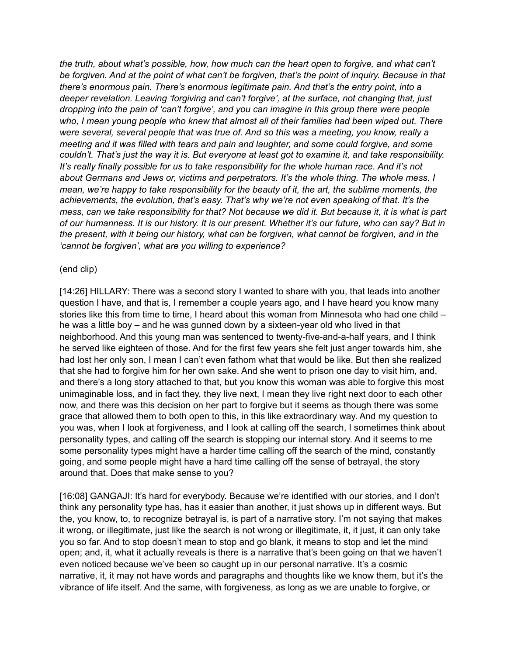*the truth, about what's possible, how, how much can the heart open to forgive, and what can't be forgiven. And at the point of what can't be forgiven, that's the point of inquiry. Because in that there's enormous pain. There's enormous legitimate pain. And that's the entry point, into a deeper revelation. Leaving 'forgiving and can't forgive', at the surface, not changing that, just dropping into the pain of 'can't forgive', and you can imagine in this group there were people who, I mean young people who knew that almost all of their families had been wiped out. There were several, several people that was true of. And so this was a meeting, you know, really a meeting and it was filled with tears and pain and laughter, and some could forgive, and some couldn't. That's just the way it is. But everyone at least got to examine it, and take responsibility. It's really finally possible for us to take responsibility for the whole human race. And it's not about Germans and Jews or, victims and perpetrators. It's the whole thing. The whole mess. I mean, we're happy to take responsibility for the beauty of it, the art, the sublime moments, the achievements, the evolution, that's easy. That's why we're not even speaking of that. It's the mess, can we take responsibility for that? Not because we did it. But because it, it is what is part of our humanness. It is our history. It is our present. Whether it's our future, who can say? But in the present, with it being our history, what can be forgiven, what cannot be forgiven, and in the 'cannot be forgiven', what are you willing to experience?* 

## (end clip)

[14:26] HILLARY: There was a second story I wanted to share with you, that leads into another question I have, and that is, I remember a couple years ago, and I have heard you know many stories like this from time to time, I heard about this woman from Minnesota who had one child – he was a little boy – and he was gunned down by a sixteen-year old who lived in that neighborhood. And this young man was sentenced to twenty-five-and-a-half years, and I think he served like eighteen of those. And for the first few years she felt just anger towards him, she had lost her only son, I mean I can't even fathom what that would be like. But then she realized that she had to forgive him for her own sake. And she went to prison one day to visit him, and, and there's a long story attached to that, but you know this woman was able to forgive this most unimaginable loss, and in fact they, they live next, I mean they live right next door to each other now, and there was this decision on her part to forgive but it seems as though there was some grace that allowed them to both open to this, in this like extraordinary way. And my question to you was, when I look at forgiveness, and I look at calling off the search, I sometimes think about personality types, and calling off the search is stopping our internal story. And it seems to me some personality types might have a harder time calling off the search of the mind, constantly going, and some people might have a hard time calling off the sense of betrayal, the story around that. Does that make sense to you?

[16:08] GANGAJI: It's hard for everybody. Because we're identified with our stories, and I don't think any personality type has, has it easier than another, it just shows up in different ways. But the, you know, to, to recognize betrayal is, is part of a narrative story. I'm not saying that makes it wrong, or illegitimate, just like the search is not wrong or illegitimate, it, it just, it can only take you so far. And to stop doesn't mean to stop and go blank, it means to stop and let the mind open; and, it, what it actually reveals is there is a narrative that's been going on that we haven't even noticed because we've been so caught up in our personal narrative. It's a cosmic narrative, it, it may not have words and paragraphs and thoughts like we know them, but it's the vibrance of life itself. And the same, with forgiveness, as long as we are unable to forgive, or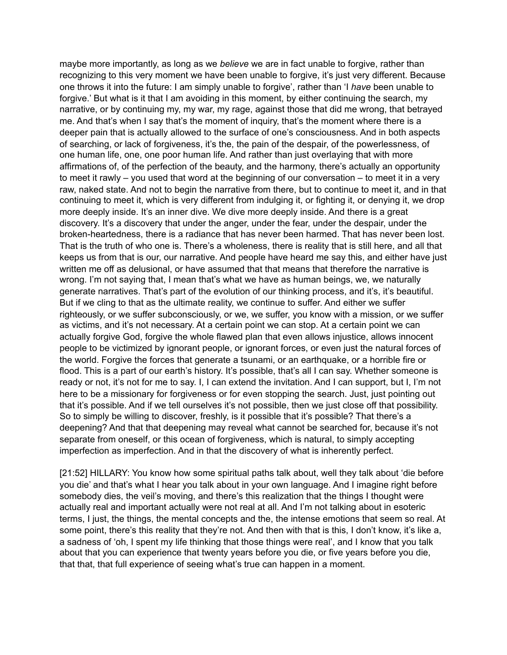maybe more importantly, as long as we *believe* we are in fact unable to forgive, rather than recognizing to this very moment we have been unable to forgive, it's just very different. Because one throws it into the future: I am simply unable to forgive', rather than 'I *have* been unable to forgive.' But what is it that I am avoiding in this moment, by either continuing the search, my narrative, or by continuing my, my war, my rage, against those that did me wrong, that betrayed me. And that's when I say that's the moment of inquiry, that's the moment where there is a deeper pain that is actually allowed to the surface of one's consciousness. And in both aspects of searching, or lack of forgiveness, it's the, the pain of the despair, of the powerlessness, of one human life, one, one poor human life. And rather than just overlaying that with more affirmations of, of the perfection of the beauty, and the harmony, there's actually an opportunity to meet it rawly – you used that word at the beginning of our conversation – to meet it in a very raw, naked state. And not to begin the narrative from there, but to continue to meet it, and in that continuing to meet it, which is very different from indulging it, or fighting it, or denying it, we drop more deeply inside. It's an inner dive. We dive more deeply inside. And there is a great discovery. It's a discovery that under the anger, under the fear, under the despair, under the broken-heartedness, there is a radiance that has never been harmed. That has never been lost. That is the truth of who one is. There's a wholeness, there is reality that is still here, and all that keeps us from that is our, our narrative. And people have heard me say this, and either have just written me off as delusional, or have assumed that that means that therefore the narrative is wrong. I'm not saying that, I mean that's what we have as human beings, we, we naturally generate narratives. That's part of the evolution of our thinking process, and it's, it's beautiful. But if we cling to that as the ultimate reality, we continue to suffer. And either we suffer righteously, or we suffer subconsciously, or we, we suffer, you know with a mission, or we suffer as victims, and it's not necessary. At a certain point we can stop. At a certain point we can actually forgive God, forgive the whole flawed plan that even allows injustice, allows innocent people to be victimized by ignorant people, or ignorant forces, or even just the natural forces of the world. Forgive the forces that generate a tsunami, or an earthquake, or a horrible fire or flood. This is a part of our earth's history. It's possible, that's all I can say. Whether someone is ready or not, it's not for me to say. I, I can extend the invitation. And I can support, but I, I'm not here to be a missionary for forgiveness or for even stopping the search. Just, just pointing out that it's possible. And if we tell ourselves it's not possible, then we just close off that possibility. So to simply be willing to discover, freshly, is it possible that it's possible? That there's a deepening? And that that deepening may reveal what cannot be searched for, because it's not separate from oneself, or this ocean of forgiveness, which is natural, to simply accepting imperfection as imperfection. And in that the discovery of what is inherently perfect.

[21:52] HILLARY: You know how some spiritual paths talk about, well they talk about 'die before you die' and that's what I hear you talk about in your own language. And I imagine right before somebody dies, the veil's moving, and there's this realization that the things I thought were actually real and important actually were not real at all. And I'm not talking about in esoteric terms, I just, the things, the mental concepts and the, the intense emotions that seem so real. At some point, there's this reality that they're not. And then with that is this, I don't know, it's like a, a sadness of 'oh, I spent my life thinking that those things were real', and I know that you talk about that you can experience that twenty years before you die, or five years before you die, that that, that full experience of seeing what's true can happen in a moment.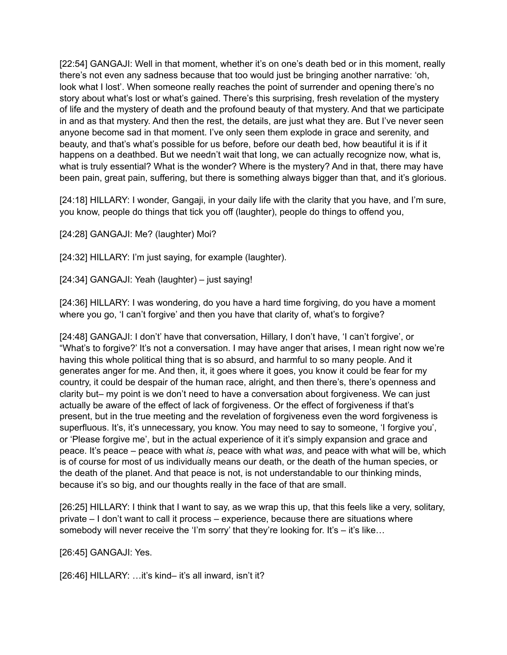[22:54] GANGAJI: Well in that moment, whether it's on one's death bed or in this moment, really there's not even any sadness because that too would just be bringing another narrative: 'oh, look what I lost'. When someone really reaches the point of surrender and opening there's no story about what's lost or what's gained. There's this surprising, fresh revelation of the mystery of life and the mystery of death and the profound beauty of that mystery. And that we participate in and as that mystery. And then the rest, the details, are just what they are. But I've never seen anyone become sad in that moment. I've only seen them explode in grace and serenity, and beauty, and that's what's possible for us before, before our death bed, how beautiful it is if it happens on a deathbed. But we needn't wait that long, we can actually recognize now, what is, what is truly essential? What is the wonder? Where is the mystery? And in that, there may have been pain, great pain, suffering, but there is something always bigger than that, and it's glorious.

[24:18] HILLARY: I wonder, Gangaji, in your daily life with the clarity that you have, and I'm sure, you know, people do things that tick you off (laughter), people do things to offend you,

[24:28] GANGAJI: Me? (laughter) Moi?

[24:32] HILLARY: I'm just saying, for example (laughter).

[24:34] GANGAJI: Yeah (laughter) – just saying!

[24:36] HILLARY: I was wondering, do you have a hard time forgiving, do you have a moment where you go, 'I can't forgive' and then you have that clarity of, what's to forgive?

[24:48] GANGAJI: I don't' have that conversation, Hillary, I don't have, 'I can't forgive', or "What's to forgive?' It's not a conversation. I may have anger that arises, I mean right now we're having this whole political thing that is so absurd, and harmful to so many people. And it generates anger for me. And then, it, it goes where it goes, you know it could be fear for my country, it could be despair of the human race, alright, and then there's, there's openness and clarity but– my point is we don't need to have a conversation about forgiveness. We can just actually be aware of the effect of lack of forgiveness. Or the effect of forgiveness if that's present, but in the true meeting and the revelation of forgiveness even the word forgiveness is superfluous. It's, it's unnecessary, you know. You may need to say to someone, 'I forgive you', or 'Please forgive me', but in the actual experience of it it's simply expansion and grace and peace. It's peace – peace with what *is*, peace with what *was*, and peace with what will be, which is of course for most of us individually means our death, or the death of the human species, or the death of the planet. And that peace is not, is not understandable to our thinking minds, because it's so big, and our thoughts really in the face of that are small.

[26:25] HILLARY: I think that I want to say, as we wrap this up, that this feels like a very, solitary, private – I don't want to call it process – experience, because there are situations where somebody will never receive the 'I'm sorry' that they're looking for. It's  $-$  it's like...

[26:45] GANGAJI: Yes.

[26:46] HILLARY: ... it's kind– it's all inward, isn't it?